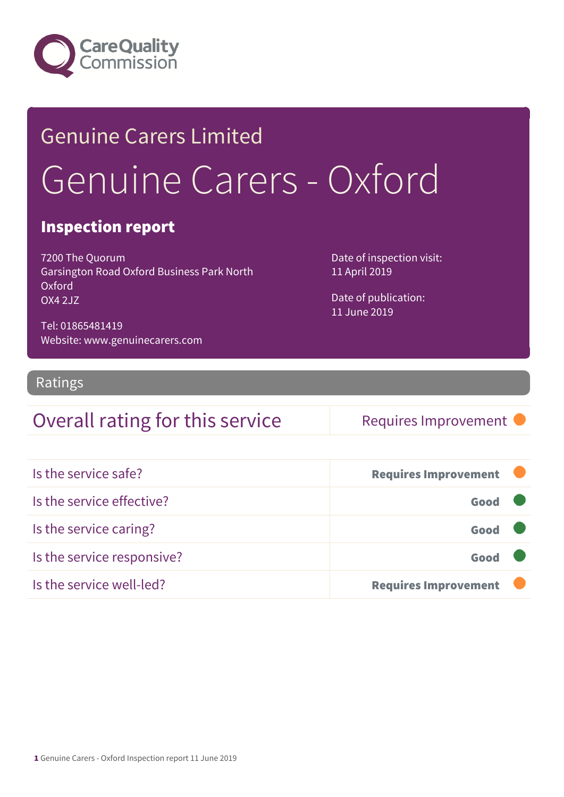

## Genuine Carers Limited Genuine Carers - Oxford

#### Inspection report

7200 The Quorum Garsington Road Oxford Business Park North Oxford OX4 2JZ

Date of inspection visit: 11 April 2019

Date of publication: 11 June 2019

Tel: 01865481419 Website: www.genuinecarers.com

#### Ratings

#### Overall rating for this service Requires Improvement

| Is the service safe?       | <b>Requires Improvement</b> |  |
|----------------------------|-----------------------------|--|
| Is the service effective?  | Good                        |  |
| Is the service caring?     | Good                        |  |
| Is the service responsive? | Good                        |  |
| Is the service well-led?   | <b>Requires Improvement</b> |  |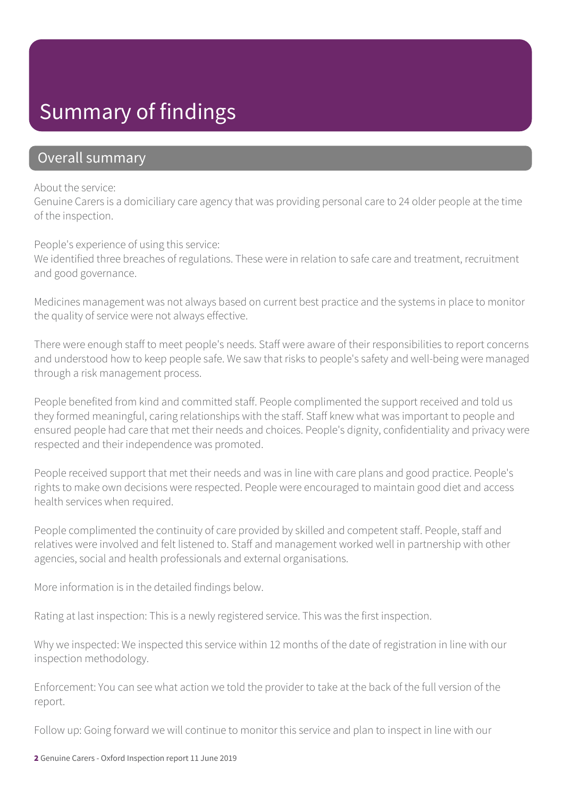### Summary of findings

#### Overall summary

#### About the service:

Genuine Carers is a domiciliary care agency that was providing personal care to 24 older people at the time of the inspection.

People's experience of using this service:

We identified three breaches of regulations. These were in relation to safe care and treatment, recruitment and good governance.

Medicines management was not always based on current best practice and the systems in place to monitor the quality of service were not always effective.

There were enough staff to meet people's needs. Staff were aware of their responsibilities to report concerns and understood how to keep people safe. We saw that risks to people's safety and well-being were managed through a risk management process.

People benefited from kind and committed staff. People complimented the support received and told us they formed meaningful, caring relationships with the staff. Staff knew what was important to people and ensured people had care that met their needs and choices. People's dignity, confidentiality and privacy were respected and their independence was promoted.

People received support that met their needs and was in line with care plans and good practice. People's rights to make own decisions were respected. People were encouraged to maintain good diet and access health services when required.

People complimented the continuity of care provided by skilled and competent staff. People, staff and relatives were involved and felt listened to. Staff and management worked well in partnership with other agencies, social and health professionals and external organisations.

More information is in the detailed findings below.

Rating at last inspection: This is a newly registered service. This was the first inspection.

Why we inspected: We inspected this service within 12 months of the date of registration in line with our inspection methodology.

Enforcement: You can see what action we told the provider to take at the back of the full version of the report.

Follow up: Going forward we will continue to monitor this service and plan to inspect in line with our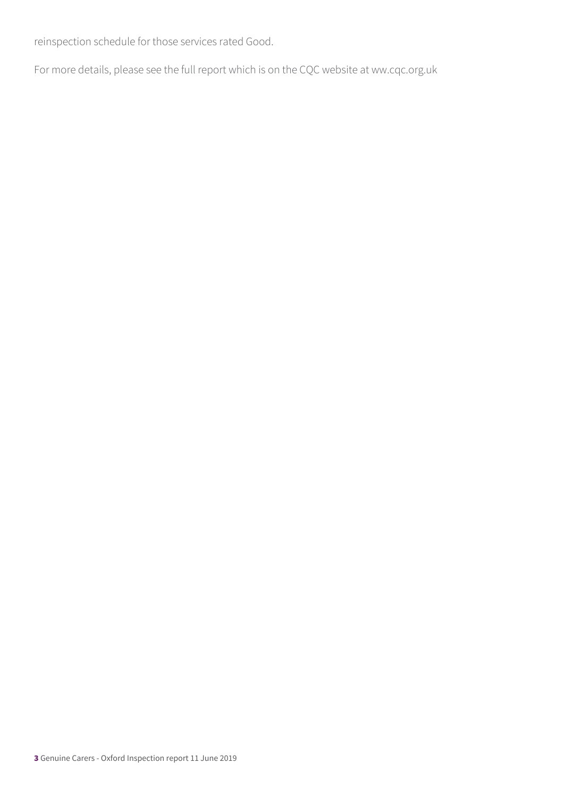reinspection schedule for those services rated Good.

For more details, please see the full report which is on the CQC website at ww.cqc.org.uk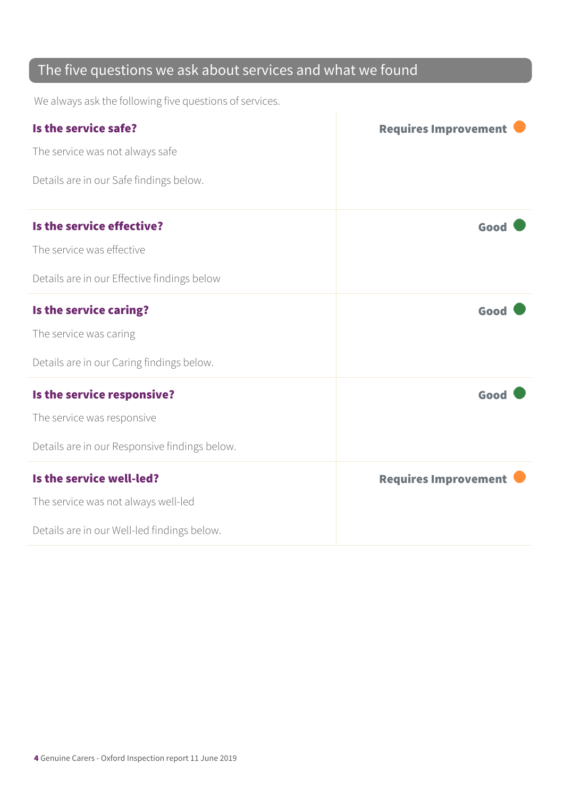#### The five questions we ask about services and what we found

We always ask the following five questions of services.

| Is the service safe?                          | <b>Requires Improvement</b> |
|-----------------------------------------------|-----------------------------|
| The service was not always safe               |                             |
| Details are in our Safe findings below.       |                             |
| Is the service effective?                     | Good                        |
| The service was effective                     |                             |
| Details are in our Effective findings below   |                             |
| Is the service caring?                        | Good                        |
| The service was caring                        |                             |
| Details are in our Caring findings below.     |                             |
| Is the service responsive?                    | Good                        |
| The service was responsive                    |                             |
| Details are in our Responsive findings below. |                             |
| Is the service well-led?                      | <b>Requires Improvement</b> |
| The service was not always well-led           |                             |
| Details are in our Well-led findings below.   |                             |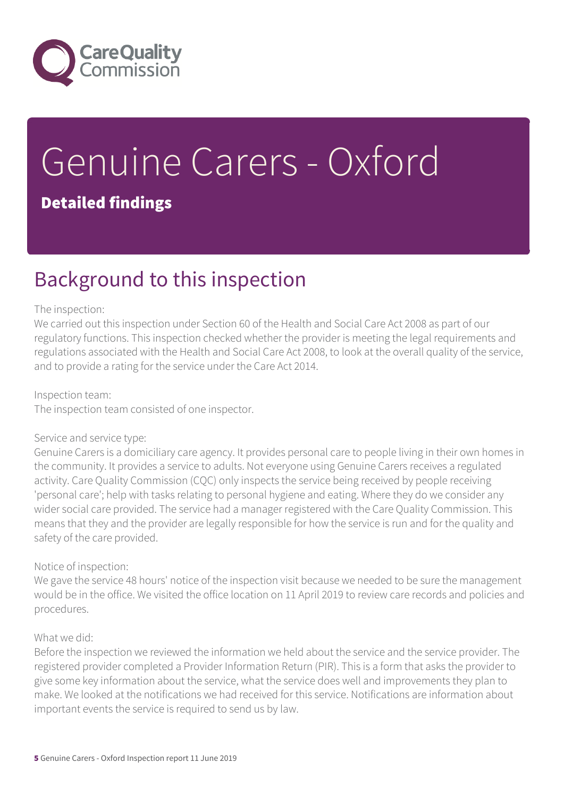

# Genuine Carers - Oxford

#### Detailed findings

### Background to this inspection

#### The inspection:

We carried out this inspection under Section 60 of the Health and Social Care Act 2008 as part of our regulatory functions. This inspection checked whether the provider is meeting the legal requirements and regulations associated with the Health and Social Care Act 2008, to look at the overall quality of the service, and to provide a rating for the service under the Care Act 2014.

#### Inspection team:

The inspection team consisted of one inspector.

#### Service and service type:

Genuine Carers is a domiciliary care agency. It provides personal care to people living in their own homes in the community. It provides a service to adults. Not everyone using Genuine Carers receives a regulated activity. Care Quality Commission (CQC) only inspects the service being received by people receiving 'personal care'; help with tasks relating to personal hygiene and eating. Where they do we consider any wider social care provided. The service had a manager registered with the Care Quality Commission. This means that they and the provider are legally responsible for how the service is run and for the quality and safety of the care provided.

#### Notice of inspection:

We gave the service 48 hours' notice of the inspection visit because we needed to be sure the management would be in the office. We visited the office location on 11 April 2019 to review care records and policies and procedures.

#### What we did:

Before the inspection we reviewed the information we held about the service and the service provider. The registered provider completed a Provider Information Return (PIR). This is a form that asks the provider to give some key information about the service, what the service does well and improvements they plan to make. We looked at the notifications we had received for this service. Notifications are information about important events the service is required to send us by law.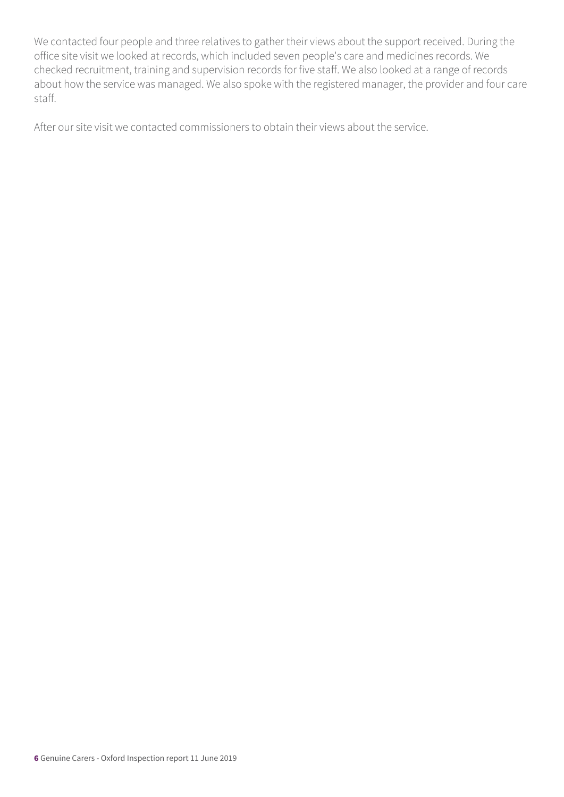We contacted four people and three relatives to gather their views about the support received. During the office site visit we looked at records, which included seven people's care and medicines records. We checked recruitment, training and supervision records for five staff. We also looked at a range of records about how the service was managed. We also spoke with the registered manager, the provider and four care staff.

After our site visit we contacted commissioners to obtain their views about the service.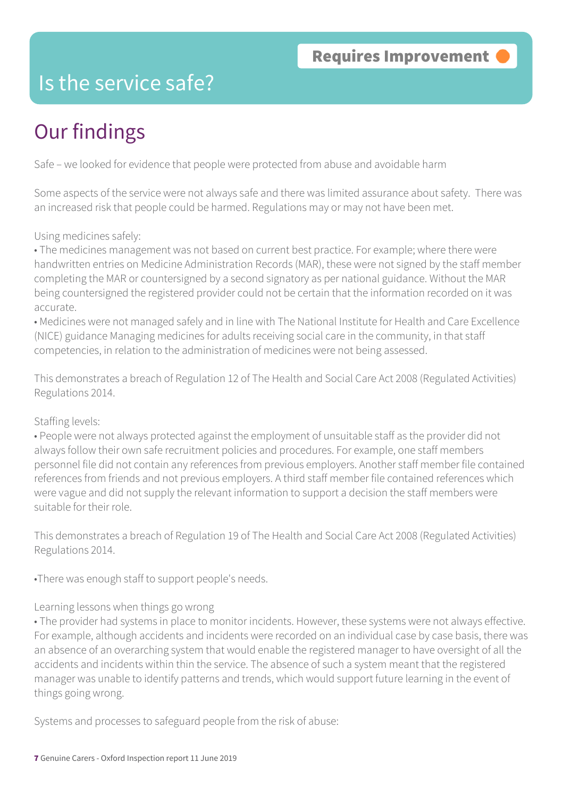### Is the service safe?

### Our findings

Safe – we looked for evidence that people were protected from abuse and avoidable harm

Some aspects of the service were not always safe and there was limited assurance about safety. There was an increased risk that people could be harmed. Regulations may or may not have been met.

Using medicines safely:

• The medicines management was not based on current best practice. For example; where there were handwritten entries on Medicine Administration Records (MAR), these were not signed by the staff member completing the MAR or countersigned by a second signatory as per national guidance. Without the MAR being countersigned the registered provider could not be certain that the information recorded on it was accurate.

• Medicines were not managed safely and in line with The National Institute for Health and Care Excellence (NICE) guidance Managing medicines for adults receiving social care in the community, in that staff competencies, in relation to the administration of medicines were not being assessed.

This demonstrates a breach of Regulation 12 of The Health and Social Care Act 2008 (Regulated Activities) Regulations 2014.

#### Staffing levels:

• People were not always protected against the employment of unsuitable staff as the provider did not always follow their own safe recruitment policies and procedures. For example, one staff members personnel file did not contain any references from previous employers. Another staff member file contained references from friends and not previous employers. A third staff member file contained references which were vague and did not supply the relevant information to support a decision the staff members were suitable for their role.

This demonstrates a breach of Regulation 19 of The Health and Social Care Act 2008 (Regulated Activities) Regulations 2014.

•There was enough staff to support people's needs.

#### Learning lessons when things go wrong

• The provider had systems in place to monitor incidents. However, these systems were not always effective. For example, although accidents and incidents were recorded on an individual case by case basis, there was an absence of an overarching system that would enable the registered manager to have oversight of all the accidents and incidents within thin the service. The absence of such a system meant that the registered manager was unable to identify patterns and trends, which would support future learning in the event of things going wrong.

Systems and processes to safeguard people from the risk of abuse: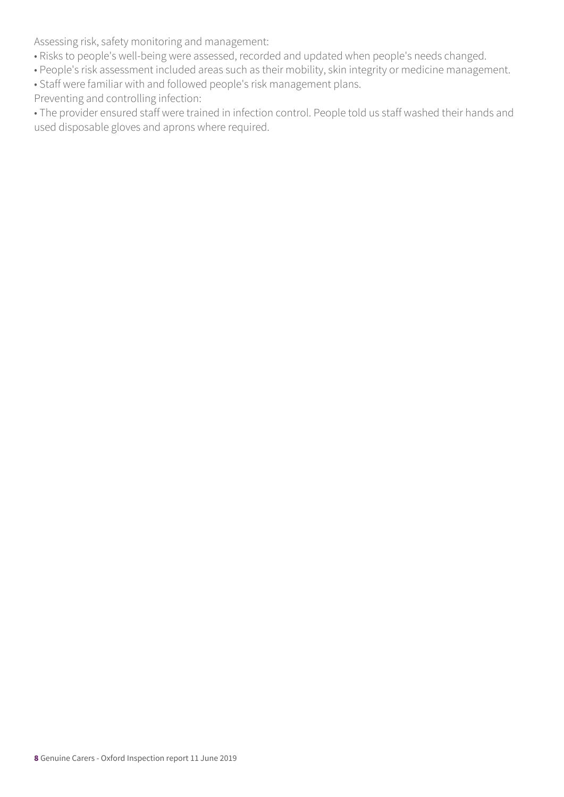Assessing risk, safety monitoring and management:

- Risks to people's well-being were assessed, recorded and updated when people's needs changed.
- People's risk assessment included areas such as their mobility, skin integrity or medicine management.
- Staff were familiar with and followed people's risk management plans.
- Preventing and controlling infection:

• The provider ensured staff were trained in infection control. People told us staff washed their hands and used disposable gloves and aprons where required.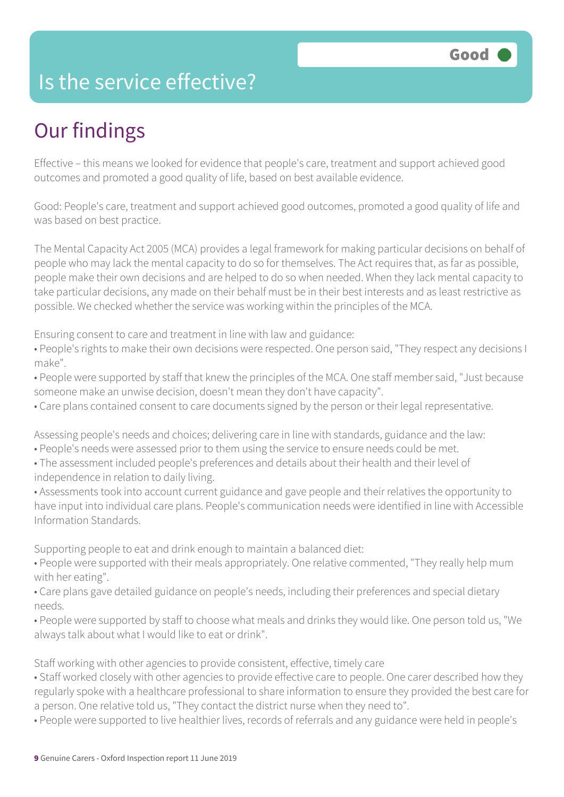### Is the service effective?

### Our findings

Effective – this means we looked for evidence that people's care, treatment and support achieved good outcomes and promoted a good quality of life, based on best available evidence.

Good: People's care, treatment and support achieved good outcomes, promoted a good quality of life and was based on best practice.

The Mental Capacity Act 2005 (MCA) provides a legal framework for making particular decisions on behalf of people who may lack the mental capacity to do so for themselves. The Act requires that, as far as possible, people make their own decisions and are helped to do so when needed. When they lack mental capacity to take particular decisions, any made on their behalf must be in their best interests and as least restrictive as possible. We checked whether the service was working within the principles of the MCA.

Ensuring consent to care and treatment in line with law and guidance:

• People's rights to make their own decisions were respected. One person said, "They respect any decisions I make".

• People were supported by staff that knew the principles of the MCA. One staff member said, "Just because someone make an unwise decision, doesn't mean they don't have capacity".

• Care plans contained consent to care documents signed by the person or their legal representative.

Assessing people's needs and choices; delivering care in line with standards, guidance and the law:

- People's needs were assessed prior to them using the service to ensure needs could be met.
- The assessment included people's preferences and details about their health and their level of independence in relation to daily living.
- Assessments took into account current guidance and gave people and their relatives the opportunity to have input into individual care plans. People's communication needs were identified in line with Accessible Information Standards.

Supporting people to eat and drink enough to maintain a balanced diet:

• People were supported with their meals appropriately. One relative commented, "They really help mum with her eating".

• Care plans gave detailed guidance on people's needs, including their preferences and special dietary needs.

• People were supported by staff to choose what meals and drinks they would like. One person told us, "We always talk about what I would like to eat or drink".

Staff working with other agencies to provide consistent, effective, timely care

• Staff worked closely with other agencies to provide effective care to people. One carer described how they regularly spoke with a healthcare professional to share information to ensure they provided the best care for a person. One relative told us, "They contact the district nurse when they need to".

• People were supported to live healthier lives, records of referrals and any guidance were held in people's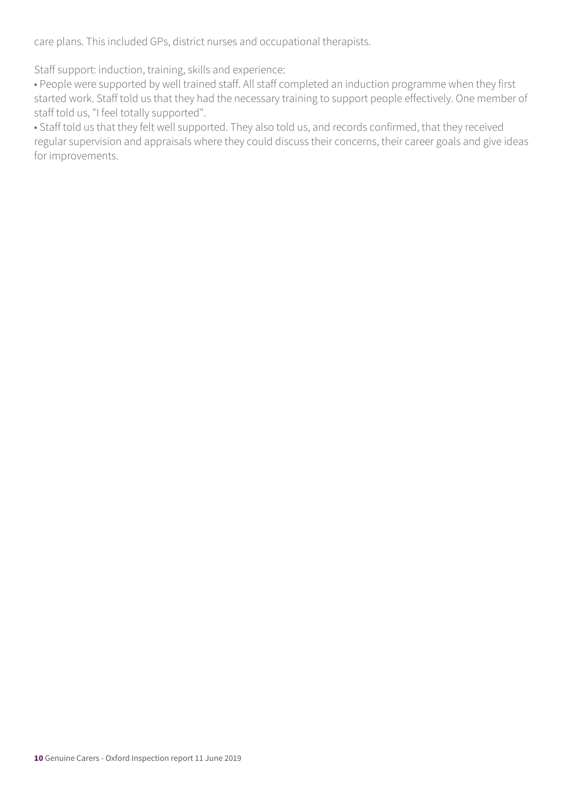care plans. This included GPs, district nurses and occupational therapists.

Staff support: induction, training, skills and experience:

• People were supported by well trained staff. All staff completed an induction programme when they first started work. Staff told us that they had the necessary training to support people effectively. One member of staff told us, "I feel totally supported".

• Staff told us that they felt well supported. They also told us, and records confirmed, that they received regular supervision and appraisals where they could discuss their concerns, their career goals and give ideas for improvements.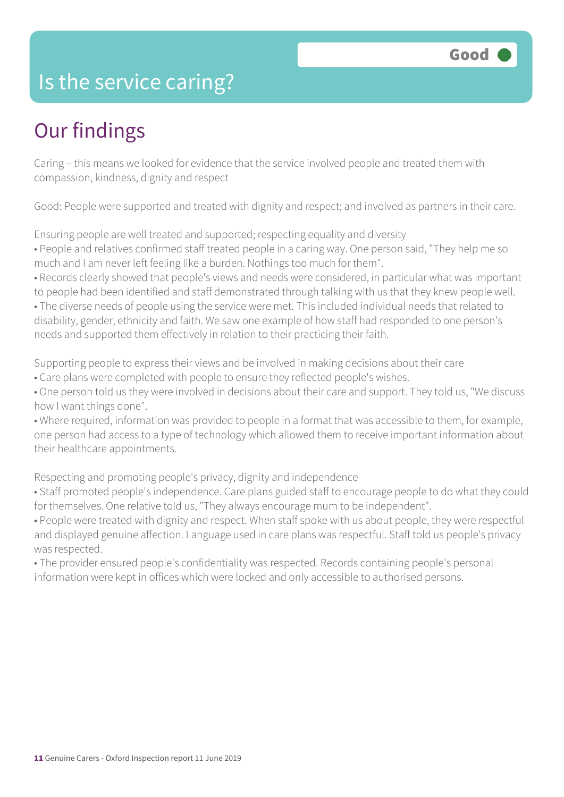### Is the service caring?

### Our findings

Caring – this means we looked for evidence that the service involved people and treated them with compassion, kindness, dignity and respect

Good: People were supported and treated with dignity and respect; and involved as partners in their care.

Ensuring people are well treated and supported; respecting equality and diversity

• People and relatives confirmed staff treated people in a caring way. One person said, "They help me so much and I am never left feeling like a burden. Nothings too much for them".

• Records clearly showed that people's views and needs were considered, in particular what was important to people had been identified and staff demonstrated through talking with us that they knew people well.

• The diverse needs of people using the service were met. This included individual needs that related to disability, gender, ethnicity and faith. We saw one example of how staff had responded to one person's needs and supported them effectively in relation to their practicing their faith.

Supporting people to express their views and be involved in making decisions about their care • Care plans were completed with people to ensure they reflected people's wishes.

• One person told us they were involved in decisions about their care and support. They told us, "We discuss how I want things done".

• Where required, information was provided to people in a format that was accessible to them, for example, one person had access to a type of technology which allowed them to receive important information about their healthcare appointments.

Respecting and promoting people's privacy, dignity and independence

• Staff promoted people's independence. Care plans guided staff to encourage people to do what they could for themselves. One relative told us, "They always encourage mum to be independent".

• People were treated with dignity and respect. When staff spoke with us about people, they were respectful and displayed genuine affection. Language used in care plans was respectful. Staff told us people's privacy was respected.

• The provider ensured people's confidentiality was respected. Records containing people's personal information were kept in offices which were locked and only accessible to authorised persons.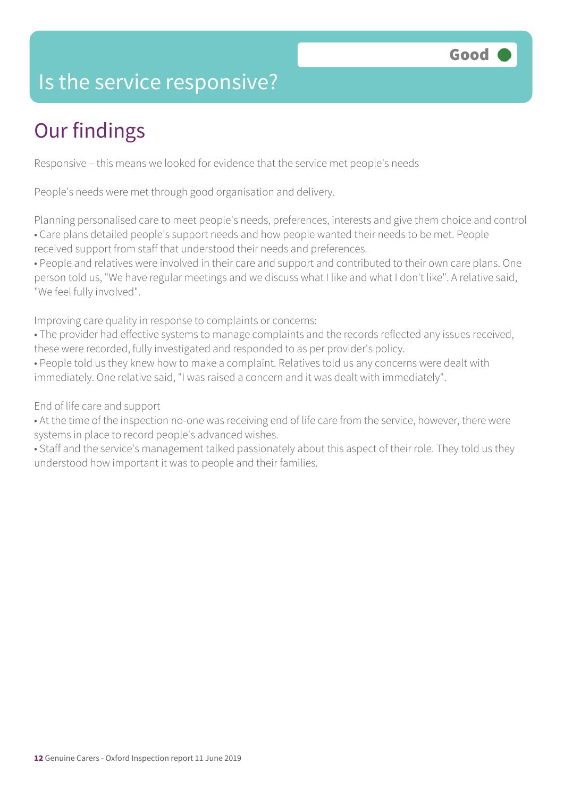### Is the service responsive?

### Our findings

Responsive – this means we looked for evidence that the service met people's needs

People's needs were met through good organisation and delivery.

Planning personalised care to meet people's needs, preferences, interests and give them choice and control • Care plans detailed people's support needs and how people wanted their needs to be met. People received support from staff that understood their needs and preferences.

• People and relatives were involved in their care and support and contributed to their own care plans. One person told us, "We have regular meetings and we discuss what I like and what I don't like". A relative said, "We feel fully involved".

Improving care quality in response to complaints or concerns:

• The provider had effective systems to manage complaints and the records reflected any issues received, these were recorded, fully investigated and responded to as per provider's policy.

• People told us they knew how to make a complaint. Relatives told us any concerns were dealt with immediately. One relative said, "I was raised a concern and it was dealt with immediately".

End of life care and support

• At the time of the inspection no-one was receiving end of life care from the service, however, there were systems in place to record people's advanced wishes.

• Staff and the service's management talked passionately about this aspect of their role. They told us they understood how important it was to people and their families.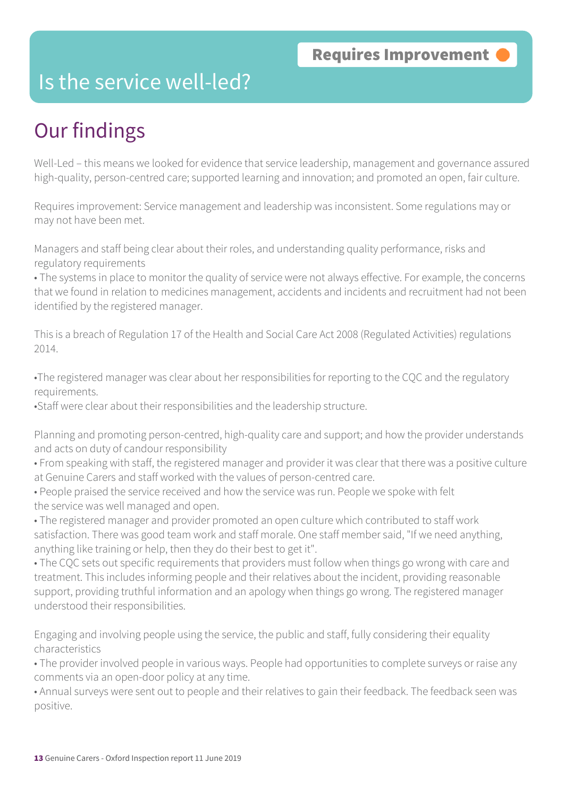### Is the service well-led?

### Our findings

Well-Led – this means we looked for evidence that service leadership, management and governance assured high-quality, person-centred care; supported learning and innovation; and promoted an open, fair culture.

Requires improvement: Service management and leadership was inconsistent. Some regulations may or may not have been met.

Managers and staff being clear about their roles, and understanding quality performance, risks and regulatory requirements

• The systems in place to monitor the quality of service were not always effective. For example, the concerns that we found in relation to medicines management, accidents and incidents and recruitment had not been identified by the registered manager.

This is a breach of Regulation 17 of the Health and Social Care Act 2008 (Regulated Activities) regulations 2014.

•The registered manager was clear about her responsibilities for reporting to the CQC and the regulatory requirements.

•Staff were clear about their responsibilities and the leadership structure.

Planning and promoting person-centred, high-quality care and support; and how the provider understands and acts on duty of candour responsibility

- From speaking with staff, the registered manager and provider it was clear that there was a positive culture at Genuine Carers and staff worked with the values of person-centred care.
- People praised the service received and how the service was run. People we spoke with felt the service was well managed and open.

• The registered manager and provider promoted an open culture which contributed to staff work satisfaction. There was good team work and staff morale. One staff member said, "If we need anything, anything like training or help, then they do their best to get it".

• The CQC sets out specific requirements that providers must follow when things go wrong with care and treatment. This includes informing people and their relatives about the incident, providing reasonable support, providing truthful information and an apology when things go wrong. The registered manager understood their responsibilities.

Engaging and involving people using the service, the public and staff, fully considering their equality characteristics

• The provider involved people in various ways. People had opportunities to complete surveys or raise any comments via an open-door policy at any time.

• Annual surveys were sent out to people and their relatives to gain their feedback. The feedback seen was positive.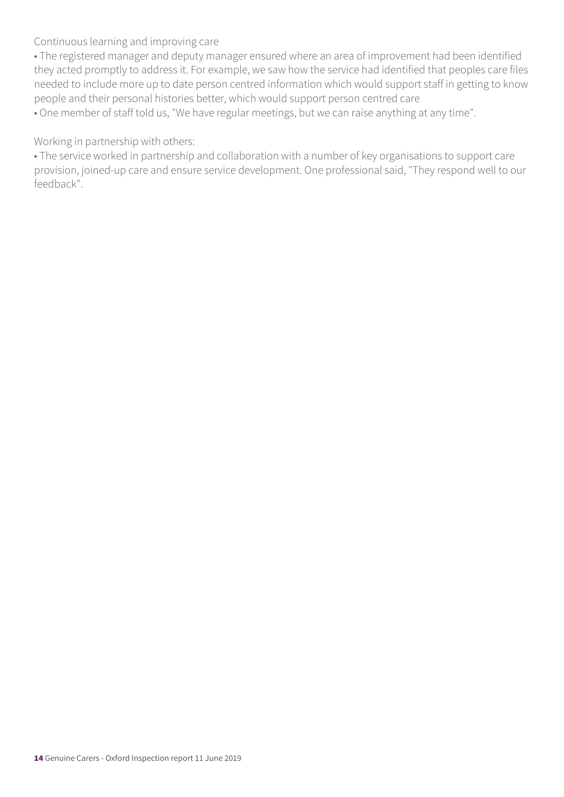Continuous learning and improving care

• The registered manager and deputy manager ensured where an area of improvement had been identified they acted promptly to address it. For example, we saw how the service had identified that peoples care files needed to include more up to date person centred information which would support staff in getting to know people and their personal histories better, which would support person centred care

• One member of staff told us, "We have regular meetings, but we can raise anything at any time".

Working in partnership with others:

• The service worked in partnership and collaboration with a number of key organisations to support care provision, joined-up care and ensure service development. One professional said, "They respond well to our feedback".